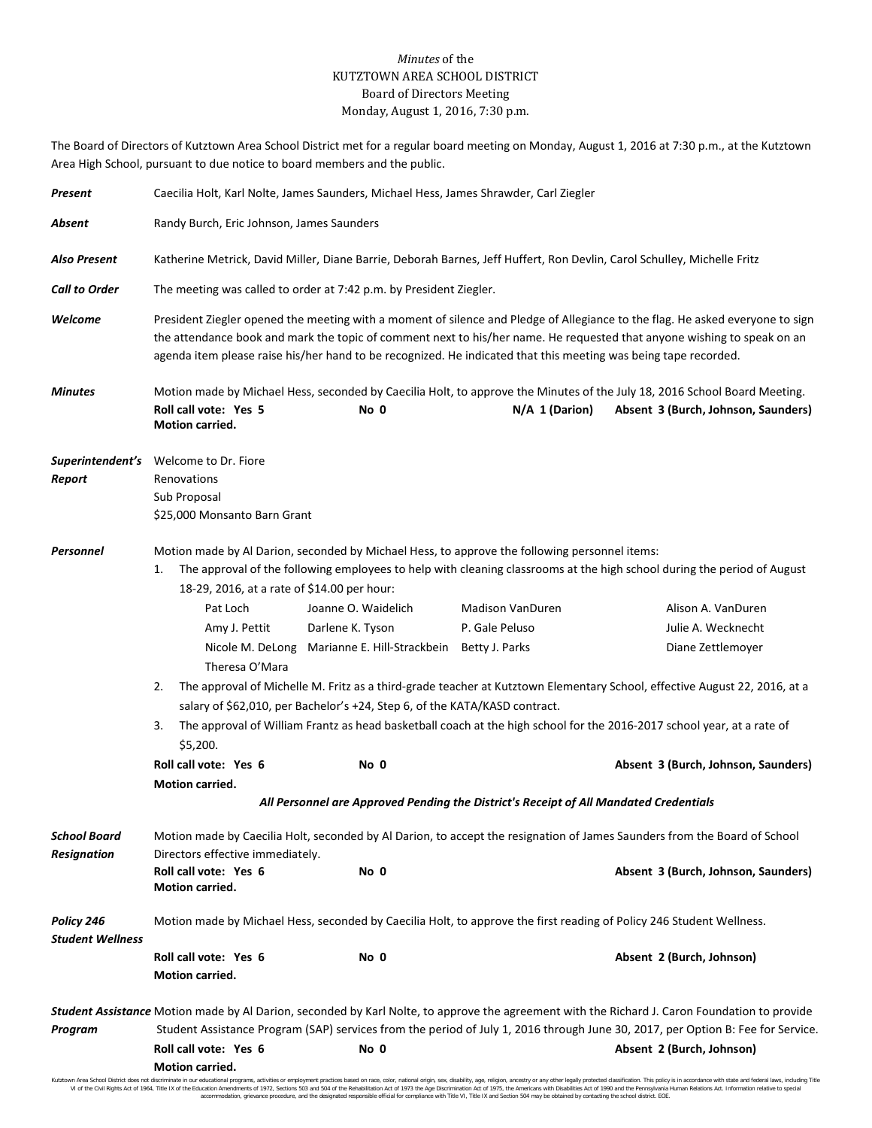## *Minutes* of the KUTZTOWN AREA SCHOOL DISTRICT Board of Directors Meeting Monday, August 1, 2016, 7:30 p.m.

The Board of Directors of Kutztown Area School District met for a regular board meeting on Monday, August 1, 2016 at 7:30 p.m., at the Kutztown Area High School, pursuant to due notice to board members and the public.

| Present                               | Caecilia Holt, Karl Nolte, James Saunders, Michael Hess, James Shrawder, Carl Ziegler                                                                                                                                                                                                                                                                                       |                                                                                       |                  |                                                                                                                                                                  |  |
|---------------------------------------|-----------------------------------------------------------------------------------------------------------------------------------------------------------------------------------------------------------------------------------------------------------------------------------------------------------------------------------------------------------------------------|---------------------------------------------------------------------------------------|------------------|------------------------------------------------------------------------------------------------------------------------------------------------------------------|--|
| Absent                                | Randy Burch, Eric Johnson, James Saunders                                                                                                                                                                                                                                                                                                                                   |                                                                                       |                  |                                                                                                                                                                  |  |
| <b>Also Present</b>                   | Katherine Metrick, David Miller, Diane Barrie, Deborah Barnes, Jeff Huffert, Ron Devlin, Carol Schulley, Michelle Fritz                                                                                                                                                                                                                                                     |                                                                                       |                  |                                                                                                                                                                  |  |
| <b>Call to Order</b>                  | The meeting was called to order at 7:42 p.m. by President Ziegler.                                                                                                                                                                                                                                                                                                          |                                                                                       |                  |                                                                                                                                                                  |  |
| Welcome                               | President Ziegler opened the meeting with a moment of silence and Pledge of Allegiance to the flag. He asked everyone to sign<br>the attendance book and mark the topic of comment next to his/her name. He requested that anyone wishing to speak on an<br>agenda item please raise his/her hand to be recognized. He indicated that this meeting was being tape recorded. |                                                                                       |                  |                                                                                                                                                                  |  |
| <b>Minutes</b>                        | Roll call vote: Yes 5<br>Motion carried.                                                                                                                                                                                                                                                                                                                                    | No 0                                                                                  | $N/A$ 1 (Darion) | Motion made by Michael Hess, seconded by Caecilia Holt, to approve the Minutes of the July 18, 2016 School Board Meeting.<br>Absent 3 (Burch, Johnson, Saunders) |  |
|                                       | Superintendent's Welcome to Dr. Fiore                                                                                                                                                                                                                                                                                                                                       |                                                                                       |                  |                                                                                                                                                                  |  |
| Report                                | Renovations                                                                                                                                                                                                                                                                                                                                                                 |                                                                                       |                  |                                                                                                                                                                  |  |
|                                       | Sub Proposal                                                                                                                                                                                                                                                                                                                                                                |                                                                                       |                  |                                                                                                                                                                  |  |
|                                       | \$25,000 Monsanto Barn Grant                                                                                                                                                                                                                                                                                                                                                |                                                                                       |                  |                                                                                                                                                                  |  |
| Personnel                             | Motion made by Al Darion, seconded by Michael Hess, to approve the following personnel items:<br>The approval of the following employees to help with cleaning classrooms at the high school during the period of August<br>1.<br>18-29, 2016, at a rate of \$14.00 per hour:                                                                                               |                                                                                       |                  |                                                                                                                                                                  |  |
|                                       | Pat Loch                                                                                                                                                                                                                                                                                                                                                                    | Joanne O. Waidelich                                                                   | Madison VanDuren | Alison A. VanDuren                                                                                                                                               |  |
|                                       | Amy J. Pettit                                                                                                                                                                                                                                                                                                                                                               | Darlene K. Tyson                                                                      | P. Gale Peluso   | Julie A. Wecknecht                                                                                                                                               |  |
|                                       | Theresa O'Mara                                                                                                                                                                                                                                                                                                                                                              | Nicole M. DeLong Marianne E. Hill-Strackbein Betty J. Parks                           |                  | Diane Zettlemoyer                                                                                                                                                |  |
|                                       | The approval of Michelle M. Fritz as a third-grade teacher at Kutztown Elementary School, effective August 22, 2016, at a<br>2.<br>salary of \$62,010, per Bachelor's +24, Step 6, of the KATA/KASD contract.<br>3.<br>The approval of William Frantz as head basketball coach at the high school for the 2016-2017 school year, at a rate of<br>\$5,200.                   |                                                                                       |                  |                                                                                                                                                                  |  |
|                                       |                                                                                                                                                                                                                                                                                                                                                                             |                                                                                       |                  |                                                                                                                                                                  |  |
|                                       | Roll call vote: Yes 6                                                                                                                                                                                                                                                                                                                                                       | No 0                                                                                  |                  | Absent 3 (Burch, Johnson, Saunders)                                                                                                                              |  |
|                                       | Motion carried.                                                                                                                                                                                                                                                                                                                                                             |                                                                                       |                  |                                                                                                                                                                  |  |
|                                       |                                                                                                                                                                                                                                                                                                                                                                             | All Personnel are Approved Pending the District's Receipt of All Mandated Credentials |                  |                                                                                                                                                                  |  |
| School Board<br><b>Resignation</b>    | Motion made by Caecilia Holt, seconded by Al Darion, to accept the resignation of James Saunders from the Board of School<br>Directors effective immediately.                                                                                                                                                                                                               |                                                                                       |                  |                                                                                                                                                                  |  |
|                                       | Roll call vote: Yes 6<br>Motion carried.                                                                                                                                                                                                                                                                                                                                    | No 0                                                                                  |                  | Absent 3 (Burch, Johnson, Saunders)                                                                                                                              |  |
| Policy 246<br><b>Student Wellness</b> | Motion made by Michael Hess, seconded by Caecilia Holt, to approve the first reading of Policy 246 Student Wellness.                                                                                                                                                                                                                                                        |                                                                                       |                  |                                                                                                                                                                  |  |
|                                       | Roll call vote: Yes 6<br>Motion carried.                                                                                                                                                                                                                                                                                                                                    | No 0                                                                                  |                  | Absent 2 (Burch, Johnson)                                                                                                                                        |  |
|                                       |                                                                                                                                                                                                                                                                                                                                                                             |                                                                                       |                  | Student Assistance Motion made by Al Darion, seconded by Karl Nolte, to approve the agreement with the Richard J. Caron Foundation to provide                    |  |
| Program                               | Student Assistance Program (SAP) services from the period of July 1, 2016 through June 30, 2017, per Option B: Fee for Service.                                                                                                                                                                                                                                             |                                                                                       |                  |                                                                                                                                                                  |  |
|                                       | Roll call vote: Yes 6<br>Motion carried.                                                                                                                                                                                                                                                                                                                                    | No 0                                                                                  |                  | Absent 2 (Burch, Johnson)                                                                                                                                        |  |

Kutztown Area School District does not discriminate in our educational programs, activities or employment practices based on race, color, national origin, sex, disability, age, religion, ancestry or any other legally prot